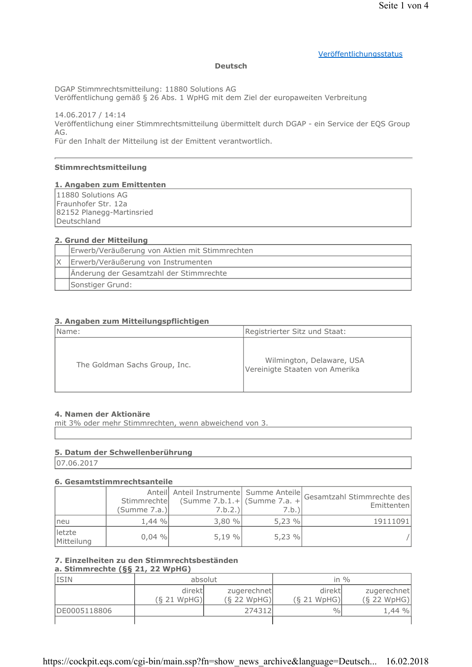#### Veröffentlichungsstatus

#### **Deutsch**

DGAP Stimmrechtsmitteilung: 11880 Solutions AG

Veröffentlichung gemäß § 26 Abs. 1 WpHG mit dem Ziel der europaweiten Verbreitung

14.06.2017 / 14:14 Veröffentlichung einer Stimmrechtsmitteilung übermittelt durch DGAP - ein Service der EQS Group AG.

Für den Inhalt der Mitteilung ist der Emittent verantwortlich.

#### Stimmrechtsmitteilung

#### 1. Angaben zum Emittenten

11880 Solutions AG Fraunhofer Str. 12a 82152 Planegg-Martinsried Deutschland

#### 2. Grund der Mitteilung

| Erwerb/Veräußerung von Aktien mit Stimmrechten |
|------------------------------------------------|
| Erwerb/Veräußerung von Instrumenten            |
| Änderung der Gesamtzahl der Stimmrechte        |
| Sonstiger Grund:                               |

### 3. Angaben zum Mitteilungspflichtigen

| Name:                         | Registrierter Sitz und Staat:                               |
|-------------------------------|-------------------------------------------------------------|
| The Goldman Sachs Group, Inc. | Wilmington, Delaware, USA<br>Vereinigte Staaten von Amerika |

#### 4. Namen der Aktionäre

mit 3% oder mehr Stimmrechten, wenn abweichend von 3.

#### 5. Datum der Schwellenberührung

07.06.2017

#### 6. Gesamtstimmrechtsanteile

|                      | Stimmrechte<br>(Summe 7.a.) | $\text{Summe } 7.b.1.+ \text{ (Summe } 7.a. +$<br>7.b.2.) | 7.b.) | Anteil Anteil Instrumente Summe Anteile Gesamtzahl Stimmrechte des<br>Emittentenl |
|----------------------|-----------------------------|-----------------------------------------------------------|-------|-----------------------------------------------------------------------------------|
| neu                  | $1.44 \%$                   | 3,80%                                                     | 5,23% | 19111091                                                                          |
| letzte<br>Mitteilung | $0.04 \%$                   | 5.19%                                                     | 5.23% |                                                                                   |

# 7. Einzelheiten zu den Stimmrechtsbeständen

## a. Stimmrechte (§§ 21, 22 WpHG)

| <b>ISIN</b>  | absolut                |                              |                        | in $\%$                      |
|--------------|------------------------|------------------------------|------------------------|------------------------------|
|              | direktl<br>(S 21 WpHG) | zugerechnet<br>$(S$ 22 WpHG) | direktl<br>(S 21 WpHG) | zugerechnet<br>$(S$ 22 WpHG) |
| DE0005118806 |                        | 274312                       | $\frac{0}{0}$          | $1,44\%$                     |
|              |                        |                              |                        |                              |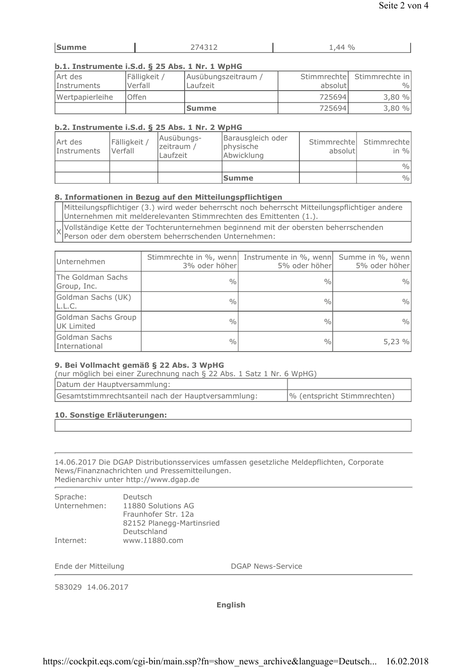| $-1122$<br>------ <b>-</b><br>- |
|---------------------------------|
|---------------------------------|

## b.1. Instrumente i.S.d. § 25 Abs. 1 Nr. 1 WpHG

| Art des            | Fälligkeit / | Ausübungszeitraum / |          | Stimmrechte Stimmrechte in |
|--------------------|--------------|---------------------|----------|----------------------------|
| <i>Instruments</i> | Verfall      | Laufzeit            | absolutl | $\frac{0}{0}$              |
| Wertpapierleihe    | <b>Offen</b> |                     | 725694   | 3,80%                      |
|                    |              | <b>Summe</b>        | 725694   | 3,80%                      |

## b.2. Instrumente i.S.d. § 25 Abs. 1 Nr. 2 WpHG

| Art des<br>Instruments | Fälligkeit<br>Verfall | Ausübungs-<br>zeitraum /<br>Laufzeit | Barausgleich oder<br>physische<br>Abwicklung | absolutl | Stimmrechte Stimmrechte<br>in $\%$ |
|------------------------|-----------------------|--------------------------------------|----------------------------------------------|----------|------------------------------------|
|                        |                       |                                      |                                              |          | $\frac{0}{0}$                      |
|                        |                       |                                      | <b>Summe</b>                                 |          | $\frac{0}{0}$                      |

## 8. Informationen in Bezug auf den Mitteilungspflichtigen

Mitteilungspflichtiger (3.) wird weder beherrscht noch beherrscht Mitteilungspflichtiger andere Unternehmen mit melderelevanten Stimmrechten des Emittenten (1.).

Vollständige Kette der Tochterunternehmen beginnend mit der obersten beherrschenden  $\times$ Person oder dem oberstem beherrschenden Unternehmen:

| Unternehmen                              | 3% oder höherl | Stimmrechte in %, wenn Instrumente in %, wenn Summe in %, wenn<br>5% oder höher | 5% oder höher |
|------------------------------------------|----------------|---------------------------------------------------------------------------------|---------------|
| The Goldman Sachs<br>Group, Inc.         | $\frac{0}{0}$  | $\frac{0}{0}$                                                                   | $\frac{0}{0}$ |
| Goldman Sachs (UK)<br>L.L.C.             | $\frac{0}{0}$  | $\frac{0}{0}$                                                                   | $\frac{0}{0}$ |
| Goldman Sachs Group<br><b>UK Limited</b> | $\frac{0}{0}$  | $\frac{0}{0}$                                                                   | $\frac{0}{0}$ |
| Goldman Sachs<br>International           | $\frac{0}{0}$  | $\frac{0}{0}$                                                                   | 5,23%         |

### 9. Bei Vollmacht gemäß § 22 Abs. 3 WpHG

(nur möglich bei einer Zurechnung nach § 22 Abs. 1 Satz 1 Nr. 6 WpHG)

| Datum der Hauptversammlung:                        |                             |
|----------------------------------------------------|-----------------------------|
| Gesamtstimmrechtsanteil nach der Hauptversammlung: | % (entspricht Stimmrechten) |

## 10. Sonstige Erläuterungen:

14.06.2017 Die DGAP Distributionsservices umfassen gesetzliche Meldepflichten, Corporate News/Finanznachrichten und Pressemitteilungen. Medienarchiv unter http://www.dgap.de

| Sprache:<br>Unternehmen: | Deutsch<br>11880 Solutions AG |
|--------------------------|-------------------------------|
|                          | Fraunhofer Str. 12a           |
|                          | 82152 Planegg-Martinsried     |
|                          | Deutschland                   |
| Internet:                | www.11880.com                 |

Ende der Mitteilung

**DGAP News-Service** 

583029 14.06.2017

**English**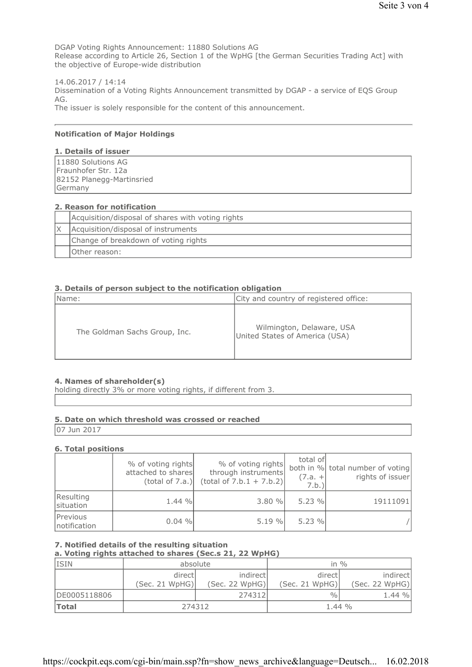DGAP Voting Rights Announcement: 11880 Solutions AG Release according to Article 26, Section 1 of the WpHG [the German Securities Trading Act] with the objective of Europe-wide distribution

14.06.2017 / 14:14 Dissemination of a Voting Rights Announcement transmitted by DGAP - a service of EQS Group AG. The issuer is solely responsible for the content of this announcement.

#### **Notification of Major Holdings**

### 1. Details of issuer

| 11880 Solutions AG        |  |
|---------------------------|--|
| Fraunhofer Str. 12a       |  |
| 82152 Planegg-Martinsried |  |
| Germany                   |  |

#### 2. Reason for notification

| Acquisition/disposal of shares with voting rights |
|---------------------------------------------------|
| Acquisition/disposal of instruments               |
| Change of breakdown of voting rights              |
| Other reason:                                     |

#### 3. Details of person subject to the notification obligation

| Name:                         | City and country of registered office:                      |
|-------------------------------|-------------------------------------------------------------|
| The Goldman Sachs Group, Inc. | Wilmington, Delaware, USA<br>United States of America (USA) |

#### 4. Names of shareholder(s)

holding directly 3% or more voting rights, if different from 3.

#### 5. Date on which threshold was crossed or reached

07 Jun 2017

#### **6. Total positions**

|                          | % of voting rights<br>attached to shares<br>(total of 7.a.) | % of voting rights<br>through instruments<br>$(total of 7.b.1 + 7.b.2)$ | total of<br>$(7.a. +$<br>7.b. | both in % total number of voting<br>rights of issuer |
|--------------------------|-------------------------------------------------------------|-------------------------------------------------------------------------|-------------------------------|------------------------------------------------------|
| Resulting<br>situation   | 1.44%                                                       | 3.80%                                                                   | 5.23%                         | 19111091                                             |
| Previous<br>notification | $0.04 \%$                                                   | 5.19%                                                                   | 5.23%                         |                                                      |

## 7. Notified details of the resulting situation

a. Voting rights attached to shares (Sec.s 21, 22 WpHG)

| <b>ISIN</b>  | absolute       |                | in $\%$        |                |
|--------------|----------------|----------------|----------------|----------------|
|              | directl        | indirect       | directl        | indirect       |
|              | (Sec. 21 WpHG) | (Sec. 22 WpHG) | (Sec. 21 WpHG) | (Sec. 22 WpHG) |
| DE0005118806 |                | 274312         | $\frac{0}{0}$  | 1.44%          |
| <b>Total</b> | 274312         |                | $1.44\%$       |                |